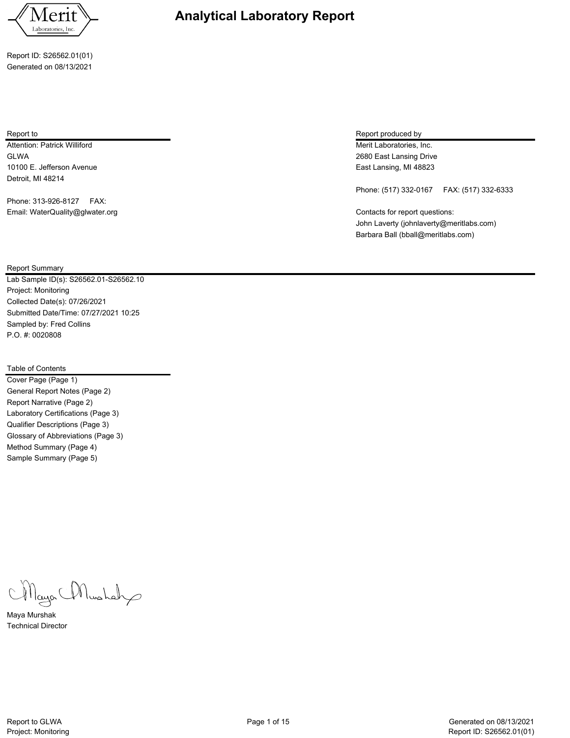

Report ID: S26562.01(01) Generated on 08/13/2021

Attention: Patrick Williford **Merit Laboratories, Inc.** Attention: Patrick Williford Merit Laboratories, Inc. GLWA 2680 East Lansing Drive 10100 E. Jefferson Avenue East Lansing, MI 48823 Detroit, MI 48214

Phone: 313-926-8127 FAX: Email: WaterQuality@glwater.org example and the contacts for report questions:

# Report to Report produced by  $\sim$  Report produced by  $\sim$  Report produced by  $\sim$  Report produced by

Phone: (517) 332-0167 FAX: (517) 332-6333

John Laverty (johnlaverty@meritlabs.com) Barbara Ball (bball@meritlabs.com)

Report Summary

Lab Sample ID(s): S26562.01-S26562.10 Project: Monitoring Collected Date(s): 07/26/2021 Submitted Date/Time: 07/27/2021 10:25 Sampled by: Fred Collins P.O. #: 0020808

# Table of Contents

Cover Page (Page 1) General Report Notes (Page 2) Report Narrative (Page 2) Laboratory Certifications (Page 3) Qualifier Descriptions (Page 3) Glossary of Abbreviations (Page 3) Method Summary (Page 4) Sample Summary (Page 5)

Mayor Mushah

Maya Murshak Technical Director

**Analytical Laboratory Report**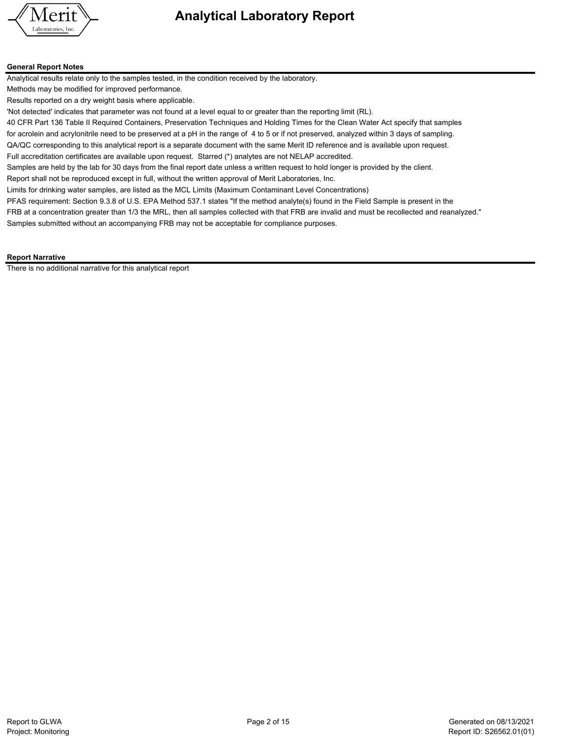

#### **General Report Notes**

Analytical results relate only to the samples tested, in the condition received by the laboratory.

Methods may be modified for improved performance.

Results reported on a dry weight basis where applicable.

'Not detected' indicates that parameter was not found at a level equal to or greater than the reporting limit (RL).

40 CFR Part 136 Table II Required Containers, Preservation Techniques and Holding Times for the Clean Water Act specify that samples

for acrolein and acrylonitrile need to be preserved at a pH in the range of 4 to 5 or if not preserved, analyzed within 3 days of sampling. QA/QC corresponding to this analytical report is a separate document with the same Merit ID reference and is available upon request.

Full accreditation certificates are available upon request. Starred (\*) analytes are not NELAP accredited.

Samples are held by the lab for 30 days from the final report date unless a written request to hold longer is provided by the client.

Report shall not be reproduced except in full, without the written approval of Merit Laboratories, Inc.

Limits for drinking water samples, are listed as the MCL Limits (Maximum Contaminant Level Concentrations)

PFAS requirement: Section 9.3.8 of U.S. EPA Method 537.1 states "If the method analyte(s) found in the Field Sample is present in the

FRB at a concentration greater than 1/3 the MRL, then all samples collected with that FRB are invalid and must be recollected and reanalyzed." Samples submitted without an accompanying FRB may not be acceptable for compliance purposes.

#### **Report Narrative**

There is no additional narrative for this analytical report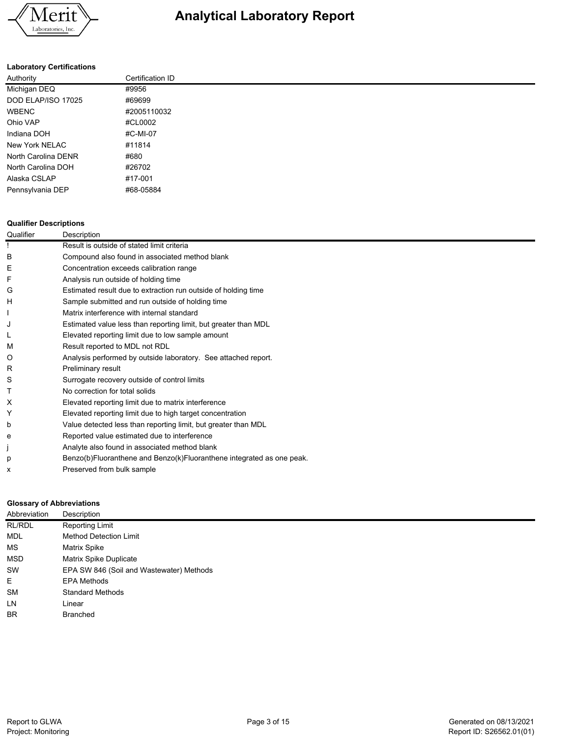

# **Laboratory Certifications**

| Authority           | Certification ID |
|---------------------|------------------|
| Michigan DEQ        | #9956            |
| DOD ELAP/ISO 17025  | #69699           |
| <b>WBENC</b>        | #2005110032      |
| Ohio VAP            | #CL0002          |
| Indiana DOH         | #C-MI-07         |
| New York NELAC      | #11814           |
| North Carolina DENR | #680             |
| North Carolina DOH  | #26702           |
| Alaska CSLAP        | #17-001          |
| Pennsylvania DEP    | #68-05884        |

#### **Qualifier Descriptions**

| Qualifier | Description                                                           |
|-----------|-----------------------------------------------------------------------|
|           | Result is outside of stated limit criteria                            |
| В         | Compound also found in associated method blank                        |
| Ε         | Concentration exceeds calibration range                               |
|           | Analysis run outside of holding time                                  |
| G         | Estimated result due to extraction run outside of holding time        |
| н         | Sample submitted and run outside of holding time                      |
|           | Matrix interference with internal standard                            |
| J         | Estimated value less than reporting limit, but greater than MDL       |
|           | Elevated reporting limit due to low sample amount                     |
| М         | Result reported to MDL not RDL                                        |
| O         | Analysis performed by outside laboratory. See attached report.        |
| R         | Preliminary result                                                    |
| S         | Surrogate recovery outside of control limits                          |
|           | No correction for total solids                                        |
| х         | Elevated reporting limit due to matrix interference                   |
| Υ         | Elevated reporting limit due to high target concentration             |
| b         | Value detected less than reporting limit, but greater than MDL        |
| e         | Reported value estimated due to interference                          |
|           | Analyte also found in associated method blank                         |
| р         | Benzo(b)Fluoranthene and Benzo(k)Fluoranthene integrated as one peak. |
| x         | Preserved from bulk sample                                            |

## **Glossary of Abbreviations**

| Abbreviation | Description                              |
|--------------|------------------------------------------|
| RL/RDL       | <b>Reporting Limit</b>                   |
| <b>MDL</b>   | <b>Method Detection Limit</b>            |
| MS           | Matrix Spike                             |
| MSD          | Matrix Spike Duplicate                   |
| SW           | EPA SW 846 (Soil and Wastewater) Methods |
| E            | <b>EPA Methods</b>                       |
| <b>SM</b>    | <b>Standard Methods</b>                  |
| LN.          | Linear                                   |
| <b>BR</b>    | <b>Branched</b>                          |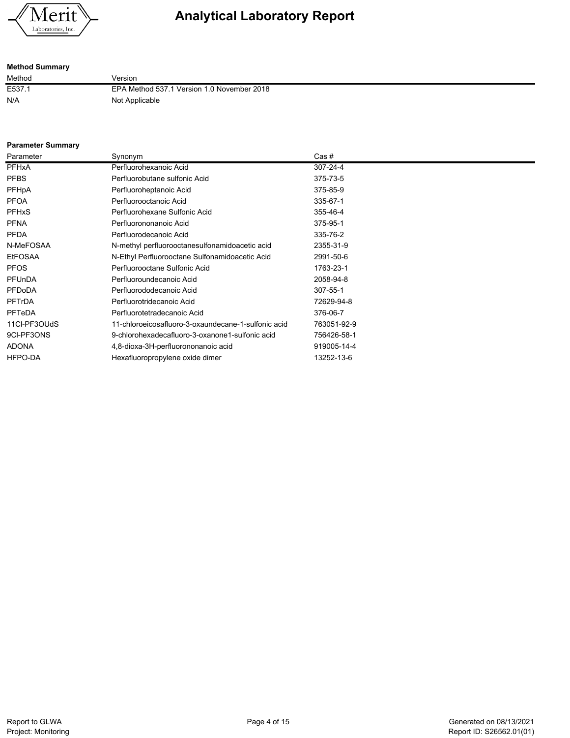

# **Method Summary**

Method Version E537.1 EPA Method 537.1 Version 1.0 November 2018 N/A Not Applicable

### **Parameter Summary**

| Parameter      | Synonym                                             | Cas #       |
|----------------|-----------------------------------------------------|-------------|
| <b>PFHxA</b>   | Perfluorohexanoic Acid                              | 307-24-4    |
| <b>PFBS</b>    | Perfluorobutane sulfonic Acid                       | 375-73-5    |
| PFHpA          | Perfluoroheptanoic Acid                             | 375-85-9    |
| <b>PFOA</b>    | Perfluorooctanoic Acid                              | 335-67-1    |
| <b>PFHxS</b>   | Perfluorohexane Sulfonic Acid                       | 355-46-4    |
| <b>PFNA</b>    | Perfluorononanoic Acid                              | 375-95-1    |
| <b>PFDA</b>    | Perfluorodecanoic Acid                              | 335-76-2    |
| N-MeFOSAA      | N-methyl perfluorooctanesulfonamidoacetic acid      | 2355-31-9   |
| <b>EtFOSAA</b> | N-Ethyl Perfluorooctane Sulfonamidoacetic Acid      | 2991-50-6   |
| <b>PFOS</b>    | Perfluorooctane Sulfonic Acid                       | 1763-23-1   |
| PFUnDA         | Perfluoroundecanoic Acid                            | 2058-94-8   |
| <b>PFDoDA</b>  | Perfluorododecanoic Acid                            | 307-55-1    |
| <b>PFTrDA</b>  | Perfluorotridecanoic Acid                           | 72629-94-8  |
| <b>PFTeDA</b>  | Perfluorotetradecanoic Acid                         | 376-06-7    |
| 11CI-PF3OUdS   | 11-chloroeicosafluoro-3-oxaundecane-1-sulfonic acid | 763051-92-9 |
| 9CI-PF3ONS     | 9-chlorohexadecafluoro-3-oxanone1-sulfonic acid     | 756426-58-1 |
| <b>ADONA</b>   | 4,8-dioxa-3H-perfluorononanoic acid                 | 919005-14-4 |
| HFPO-DA        | Hexafluoropropylene oxide dimer                     | 13252-13-6  |
|                |                                                     |             |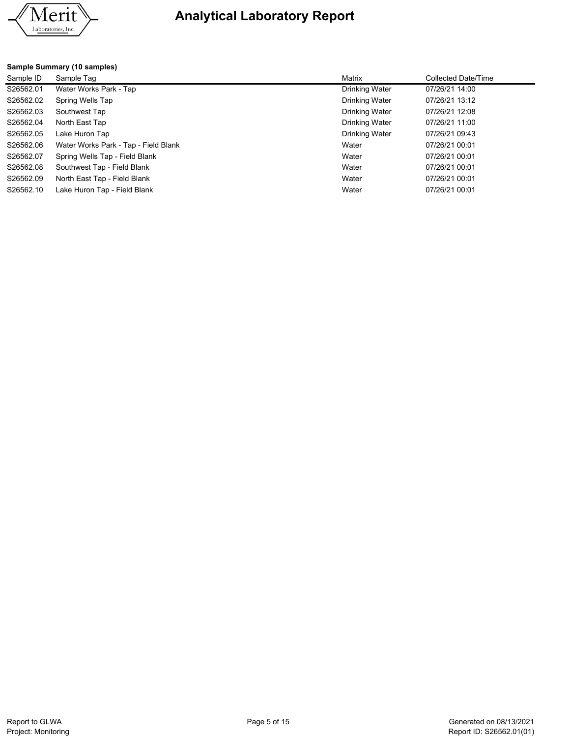

# **Sample Summary (10 samples)**

| Sample ID | Sample Tag                           | Matrix                | Collected Date/Time |
|-----------|--------------------------------------|-----------------------|---------------------|
| S26562.01 | Water Works Park - Tap               | Drinking Water        | 07/26/21 14:00      |
| S26562.02 | Spring Wells Tap                     | Drinking Water        | 07/26/21 13:12      |
| S26562.03 | Southwest Tap                        | <b>Drinking Water</b> | 07/26/21 12:08      |
| S26562.04 | North East Tap                       | Drinking Water        | 07/26/21 11:00      |
| S26562.05 | Lake Huron Tap                       | Drinking Water        | 07/26/21 09:43      |
| S26562.06 | Water Works Park - Tap - Field Blank | Water                 | 07/26/21 00:01      |
| S26562.07 | Spring Wells Tap - Field Blank       | Water                 | 07/26/21 00:01      |
| S26562.08 | Southwest Tap - Field Blank          | Water                 | 07/26/21 00:01      |
| S26562.09 | North East Tap - Field Blank         | Water                 | 07/26/21 00:01      |
| S26562.10 | Lake Huron Tap - Field Blank         | Water                 | 07/26/21 00:01      |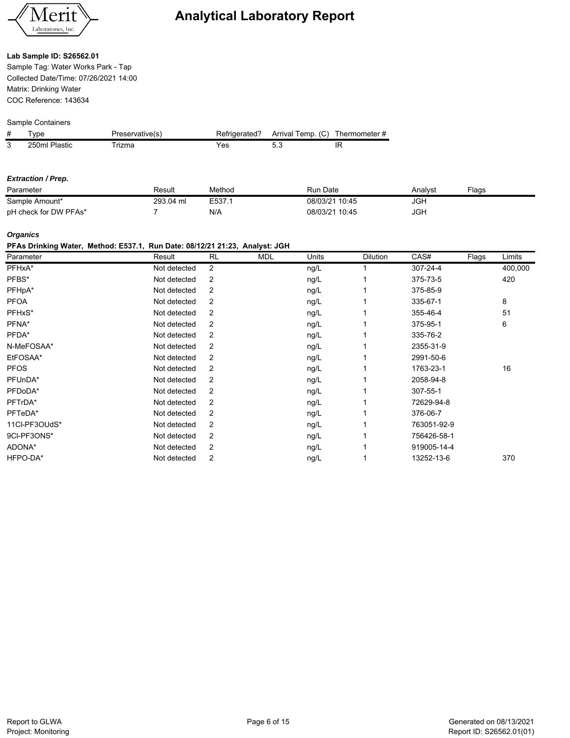

### **Lab Sample ID: S26562.01**

Sample Tag: Water Works Park - Tap Collected Date/Time: 07/26/2021 14:00 Matrix: Drinking Water COC Reference: 143634

#### Sample Containers

| # | vpe           | <sup>¬</sup> reservative(s) | Refrigerated? | Arrival Temp. (C) | Thermometer # |
|---|---------------|-----------------------------|---------------|-------------------|---------------|
| 3 | 250ml Plastic | rizma                       | Yes           |                   |               |

#### *Extraction / Prep.*

| Parameter             | Result    | Method | <b>Run Date</b> | Analvst | Flags |
|-----------------------|-----------|--------|-----------------|---------|-------|
| Sample Amount*        | 293.04 ml | E537.1 | 08/03/21 10:45  | JGh     |       |
| pH check for DW PFAs* |           | N/A    | 08/03/21 10:45  | JGH     |       |

# *Organics*

#### **PFAs Drinking Water, Method: E537.1, Run Date: 08/12/21 21:23, Analyst: JGH**

| Parameter     | Result       | <b>RL</b>      | <b>MDL</b> | Units | <b>Dilution</b> | CAS#        | Flags | Limits  |
|---------------|--------------|----------------|------------|-------|-----------------|-------------|-------|---------|
| PFHxA*        | Not detected | $\overline{2}$ |            | ng/L  |                 | 307-24-4    |       | 400,000 |
| PFBS*         | Not detected | 2              |            | ng/L  |                 | 375-73-5    |       | 420     |
| PFHpA*        | Not detected | 2              |            | ng/L  |                 | 375-85-9    |       |         |
| <b>PFOA</b>   | Not detected | 2              |            | ng/L  |                 | 335-67-1    |       | 8       |
| PFHxS*        | Not detected | 2              |            | ng/L  |                 | 355-46-4    |       | 51      |
| PFNA*         | Not detected | 2              |            | ng/L  |                 | 375-95-1    |       | 6       |
| PFDA*         | Not detected | 2              |            | ng/L  |                 | 335-76-2    |       |         |
| N-MeFOSAA*    | Not detected | 2              |            | ng/L  |                 | 2355-31-9   |       |         |
| EtFOSAA*      | Not detected | 2              |            | ng/L  |                 | 2991-50-6   |       |         |
| <b>PFOS</b>   | Not detected | 2              |            | ng/L  |                 | 1763-23-1   |       | 16      |
| PFUnDA*       | Not detected | 2              |            | ng/L  |                 | 2058-94-8   |       |         |
| PFDoDA*       | Not detected | 2              |            | ng/L  |                 | 307-55-1    |       |         |
| PFTrDA*       | Not detected | $\overline{2}$ |            | ng/L  |                 | 72629-94-8  |       |         |
| PFTeDA*       | Not detected | $\overline{2}$ |            | ng/L  |                 | 376-06-7    |       |         |
| 11Cl-PF3OUdS* | Not detected | 2              |            | ng/L  |                 | 763051-92-9 |       |         |
| 9CI-PF3ONS*   | Not detected | 2              |            | ng/L  |                 | 756426-58-1 |       |         |
| ADONA*        | Not detected | 2              |            | ng/L  |                 | 919005-14-4 |       |         |
| HFPO-DA*      | Not detected | 2              |            | ng/L  |                 | 13252-13-6  |       | 370     |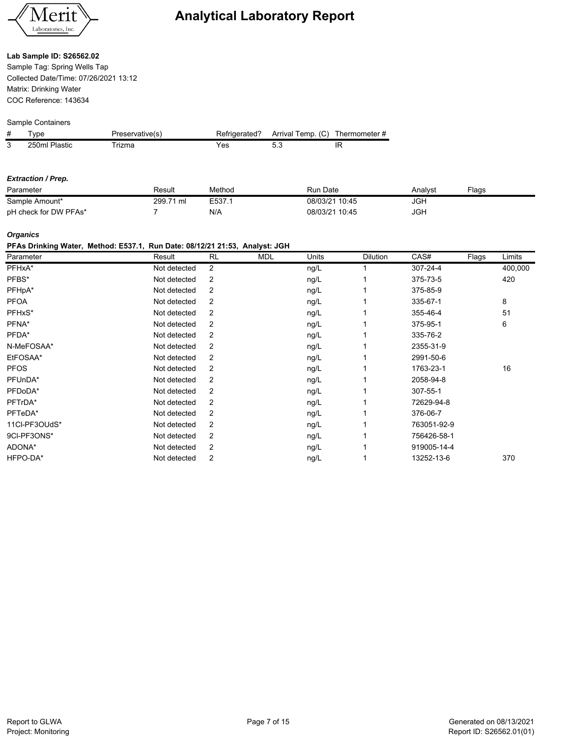

#### **Lab Sample ID: S26562.02**

Sample Tag: Spring Wells Tap Collected Date/Time: 07/26/2021 13:12 Matrix: Drinking Water COC Reference: 143634

### Sample Containers

| # | vpe           | <sup>্</sup> reservative(s) | Refrigerated? | Arrival Temp. (C) | Thermometer # |
|---|---------------|-----------------------------|---------------|-------------------|---------------|
| 3 | 250ml Plastic | rizma                       | res           |                   |               |

#### *Extraction / Prep.*

| Parameter             | Result                     | Method | Run Date       | Analvsl    | Flags |
|-----------------------|----------------------------|--------|----------------|------------|-------|
| Sample Amount*        | 299.<br>ີ <sup>71</sup> ml | E537.  | 08/03/21 10:45 | <b>JGH</b> |       |
| pH check for DW PFAs* |                            | N/A    | 08/03/21 10:45 | <b>JGH</b> |       |

# *Organics*

# **PFAs Drinking Water, Method: E537.1, Run Date: 08/12/21 21:53, Analyst: JGH**

| Parameter     | Result       | <b>RL</b>      | <b>MDL</b> | Units | <b>Dilution</b> | CAS#        | Flags | Limits  |
|---------------|--------------|----------------|------------|-------|-----------------|-------------|-------|---------|
| PFHxA*        | Not detected | 2              |            | ng/L  |                 | 307-24-4    |       | 400,000 |
| PFBS*         | Not detected | 2              |            | ng/L  |                 | 375-73-5    |       | 420     |
| PFHpA*        | Not detected | 2              |            | ng/L  |                 | 375-85-9    |       |         |
| <b>PFOA</b>   | Not detected | 2              |            | ng/L  |                 | 335-67-1    |       | 8       |
| PFHxS*        | Not detected | 2              |            | ng/L  |                 | 355-46-4    |       | 51      |
| PFNA*         | Not detected | 2              |            | ng/L  |                 | 375-95-1    |       | 6       |
| PFDA*         | Not detected | 2              |            | ng/L  |                 | 335-76-2    |       |         |
| N-MeFOSAA*    | Not detected | 2              |            | ng/L  |                 | 2355-31-9   |       |         |
| EtFOSAA*      | Not detected | 2              |            | ng/L  |                 | 2991-50-6   |       |         |
| <b>PFOS</b>   | Not detected | 2              |            | ng/L  |                 | 1763-23-1   |       | 16      |
| PFUnDA*       | Not detected | 2              |            | ng/L  |                 | 2058-94-8   |       |         |
| PFDoDA*       | Not detected | 2              |            | ng/L  |                 | 307-55-1    |       |         |
| PFTrDA*       | Not detected | $\overline{2}$ |            | ng/L  |                 | 72629-94-8  |       |         |
| PFTeDA*       | Not detected | $\overline{2}$ |            | ng/L  |                 | 376-06-7    |       |         |
| 11Cl-PF3OUdS* | Not detected | 2              |            | ng/L  |                 | 763051-92-9 |       |         |
| 9CI-PF3ONS*   | Not detected | 2              |            | ng/L  |                 | 756426-58-1 |       |         |
| ADONA*        | Not detected | 2              |            | ng/L  |                 | 919005-14-4 |       |         |
| HFPO-DA*      | Not detected | 2              |            | ng/L  |                 | 13252-13-6  |       | 370     |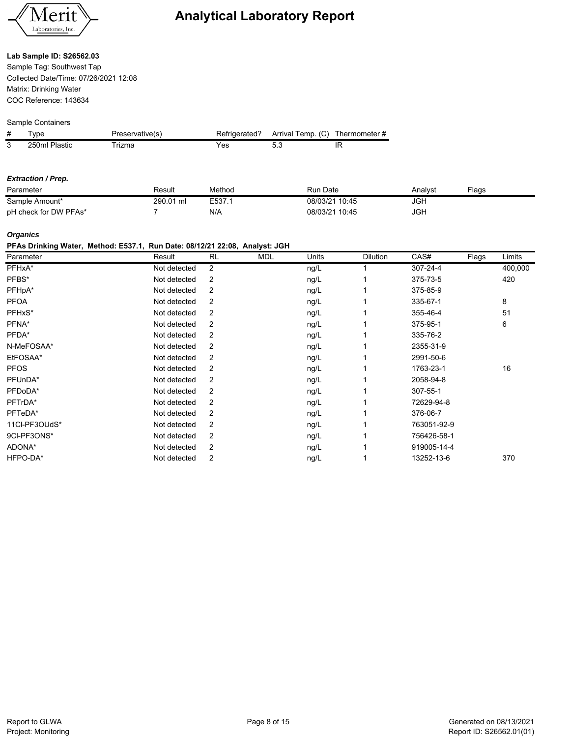

#### **Lab Sample ID: S26562.03**

Sample Tag: Southwest Tap Collected Date/Time: 07/26/2021 12:08 Matrix: Drinking Water COC Reference: 143634

#### Sample Containers

| # | vpe           | <sup>্</sup> reservative(s) | Refrigerated? | Arrival Temp. (C) | Thermometer # |
|---|---------------|-----------------------------|---------------|-------------------|---------------|
| 3 | 250ml Plastic | rizma                       | res           |                   |               |

#### *Extraction / Prep.*

| Parameter             | Result    | Method | Run Date       | Analvst    | Flaɑs |
|-----------------------|-----------|--------|----------------|------------|-------|
| Sample Amount*        | 290.01 ml | E537.1 | 08/03/21 10:45 | <b>JGH</b> |       |
| pH check for DW PFAs* |           | N/A    | 08/03/21 10:45 | <b>JGH</b> |       |

### *Organics*

# **PFAs Drinking Water, Method: E537.1, Run Date: 08/12/21 22:08, Analyst: JGH**

| Parameter     | Result       | <b>RL</b>      | <b>MDL</b> | Units | <b>Dilution</b> | CAS#        | Flags | Limits  |
|---------------|--------------|----------------|------------|-------|-----------------|-------------|-------|---------|
| PFHxA*        | Not detected | $\overline{2}$ |            | ng/L  |                 | 307-24-4    |       | 400,000 |
| PFBS*         | Not detected | 2              |            | ng/L  |                 | 375-73-5    |       | 420     |
| PFHpA*        | Not detected | 2              |            | ng/L  |                 | 375-85-9    |       |         |
| <b>PFOA</b>   | Not detected | 2              |            | ng/L  |                 | 335-67-1    |       | 8       |
| PFHxS*        | Not detected | 2              |            | ng/L  |                 | 355-46-4    |       | 51      |
| PFNA*         | Not detected | 2              |            | ng/L  |                 | 375-95-1    |       | 6       |
| PFDA*         | Not detected | 2              |            | ng/L  |                 | 335-76-2    |       |         |
| N-MeFOSAA*    | Not detected | 2              |            | ng/L  |                 | 2355-31-9   |       |         |
| EtFOSAA*      | Not detected | 2              |            | ng/L  |                 | 2991-50-6   |       |         |
| <b>PFOS</b>   | Not detected | 2              |            | ng/L  |                 | 1763-23-1   |       | 16      |
| PFUnDA*       | Not detected | 2              |            | ng/L  |                 | 2058-94-8   |       |         |
| PFDoDA*       | Not detected | 2              |            | ng/L  |                 | 307-55-1    |       |         |
| PFTrDA*       | Not detected | 2              |            | ng/L  |                 | 72629-94-8  |       |         |
| PFTeDA*       | Not detected | 2              |            | ng/L  |                 | 376-06-7    |       |         |
| 11Cl-PF3OUdS* | Not detected | 2              |            | ng/L  |                 | 763051-92-9 |       |         |
| 9CI-PF3ONS*   | Not detected | 2              |            | ng/L  |                 | 756426-58-1 |       |         |
| ADONA*        | Not detected | 2              |            | ng/L  |                 | 919005-14-4 |       |         |
| HFPO-DA*      | Not detected | 2              |            | ng/L  |                 | 13252-13-6  |       | 370     |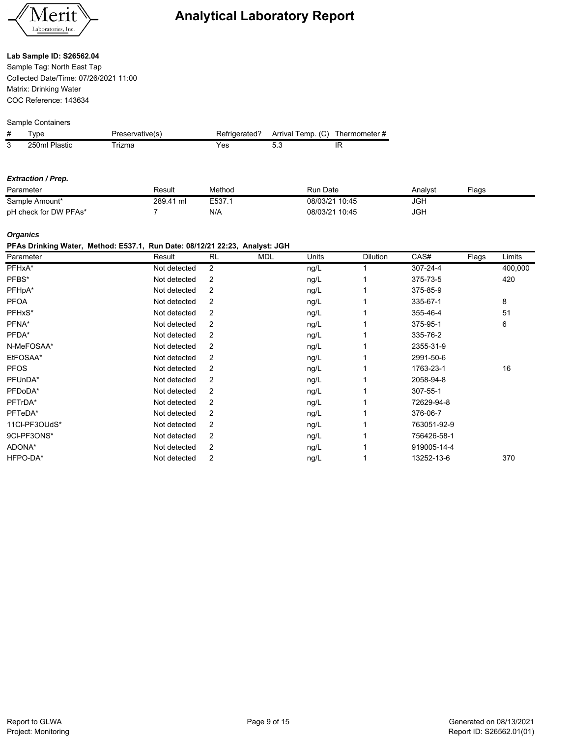

#### **Lab Sample ID: S26562.04**

Sample Tag: North East Tap Collected Date/Time: 07/26/2021 11:00 Matrix: Drinking Water COC Reference: 143634

#### Sample Containers

| # | vpe           | <sup>্</sup> reservative(s) | Refrigerated? | Arrival Temp. (C) | Thermometer # |
|---|---------------|-----------------------------|---------------|-------------------|---------------|
| 3 | 250ml Plastic | rizma                       | res           |                   |               |

#### *Extraction / Prep.*

| Parameter             | Result    | Method | Run Date       | Analvst    | Flaɑs |
|-----------------------|-----------|--------|----------------|------------|-------|
| Sample Amount*        | 289.41 ml | E537.1 | 08/03/21 10:45 | <b>JGH</b> |       |
| pH check for DW PFAs* |           | N/A    | 08/03/21 10:45 | <b>JGH</b> |       |

### *Organics*

#### **PFAs Drinking Water, Method: E537.1, Run Date: 08/12/21 22:23, Analyst: JGH**

| Parameter     | Result       | <b>RL</b>      | <b>MDL</b> | Units | <b>Dilution</b> | CAS#        | Flags | Limits  |
|---------------|--------------|----------------|------------|-------|-----------------|-------------|-------|---------|
| PFHxA*        | Not detected | 2              |            | ng/L  |                 | 307-24-4    |       | 400,000 |
| PFBS*         | Not detected | 2              |            | ng/L  |                 | 375-73-5    |       | 420     |
| PFHpA*        | Not detected | 2              |            | ng/L  |                 | 375-85-9    |       |         |
| <b>PFOA</b>   | Not detected | 2              |            | ng/L  |                 | 335-67-1    |       | 8       |
| PFHxS*        | Not detected | 2              |            | ng/L  |                 | 355-46-4    |       | 51      |
| PFNA*         | Not detected | 2              |            | ng/L  |                 | 375-95-1    |       | 6       |
| PFDA*         | Not detected | 2              |            | ng/L  |                 | 335-76-2    |       |         |
| N-MeFOSAA*    | Not detected | 2              |            | ng/L  |                 | 2355-31-9   |       |         |
| EtFOSAA*      | Not detected | 2              |            | ng/L  |                 | 2991-50-6   |       |         |
| <b>PFOS</b>   | Not detected | 2              |            | ng/L  |                 | 1763-23-1   |       | 16      |
| PFUnDA*       | Not detected | 2              |            | ng/L  |                 | 2058-94-8   |       |         |
| PFDoDA*       | Not detected | 2              |            | ng/L  |                 | 307-55-1    |       |         |
| PFTrDA*       | Not detected | 2              |            | ng/L  |                 | 72629-94-8  |       |         |
| PFTeDA*       | Not detected | $\overline{2}$ |            | ng/L  |                 | 376-06-7    |       |         |
| 11CI-PF3OUdS* | Not detected | 2              |            | ng/L  |                 | 763051-92-9 |       |         |
| 9CI-PF3ONS*   | Not detected | 2              |            | ng/L  |                 | 756426-58-1 |       |         |
| ADONA*        | Not detected | 2              |            | ng/L  |                 | 919005-14-4 |       |         |
| HFPO-DA*      | Not detected | 2              |            | ng/L  |                 | 13252-13-6  |       | 370     |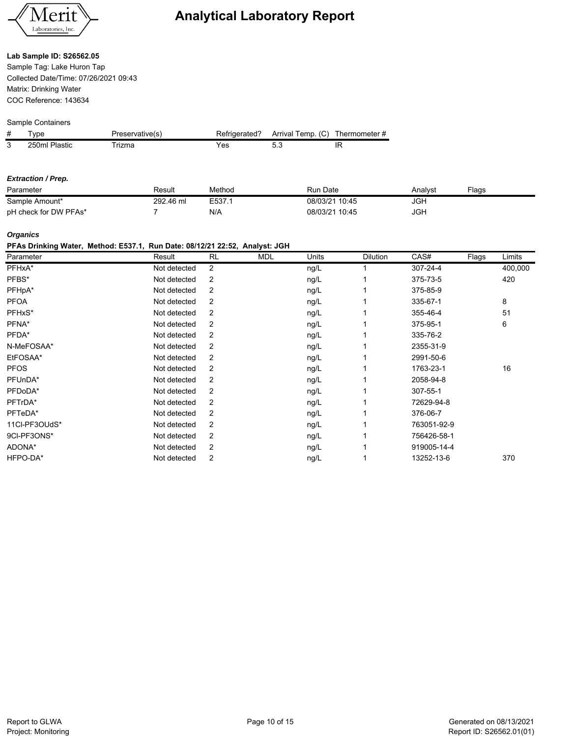

### **Lab Sample ID: S26562.05**

Sample Tag: Lake Huron Tap Collected Date/Time: 07/26/2021 09:43 Matrix: Drinking Water COC Reference: 143634

#### Sample Containers

| # | vpe           | <sup>্</sup> reservative(s) | Refrigerated? | Arrival Temp. (C) | Thermometer # |
|---|---------------|-----------------------------|---------------|-------------------|---------------|
| 3 | 250ml Plastic | rizma                       | res           |                   |               |

#### *Extraction / Prep.*

| Parameter             | Result    | Method | Run Date       | Analvsl    | Flags |
|-----------------------|-----------|--------|----------------|------------|-------|
| Sample Amount*        | 292.46 ml | E537.  | 08/03/21 10:45 | <b>JGH</b> |       |
| pH check for DW PFAs* |           | N/A    | 08/03/21 10:45 | <b>JGH</b> |       |

### *Organics*

# **PFAs Drinking Water, Method: E537.1, Run Date: 08/12/21 22:52, Analyst: JGH**

| Parameter     | Result       | <b>RL</b> | <b>MDL</b> | Units | <b>Dilution</b> | CAS#        | Flags | Limits  |
|---------------|--------------|-----------|------------|-------|-----------------|-------------|-------|---------|
| PFHxA*        | Not detected | 2         |            | ng/L  |                 | 307-24-4    |       | 400,000 |
| PFBS*         | Not detected | 2         |            | ng/L  |                 | 375-73-5    |       | 420     |
| PFHpA*        | Not detected | 2         |            | ng/L  |                 | 375-85-9    |       |         |
| <b>PFOA</b>   | Not detected | 2         |            | ng/L  |                 | 335-67-1    |       | 8       |
| PFHxS*        | Not detected | 2         |            | ng/L  |                 | 355-46-4    |       | 51      |
| PFNA*         | Not detected | 2         |            | ng/L  |                 | 375-95-1    |       | 6       |
| PFDA*         | Not detected | 2         |            | ng/L  |                 | 335-76-2    |       |         |
| N-MeFOSAA*    | Not detected | 2         |            | ng/L  |                 | 2355-31-9   |       |         |
| EtFOSAA*      | Not detected | 2         |            | ng/L  |                 | 2991-50-6   |       |         |
| <b>PFOS</b>   | Not detected | 2         |            | ng/L  |                 | 1763-23-1   |       | 16      |
| PFUnDA*       | Not detected | 2         |            | ng/L  |                 | 2058-94-8   |       |         |
| PFDoDA*       | Not detected | 2         |            | ng/L  |                 | 307-55-1    |       |         |
| PFTrDA*       | Not detected | 2         |            | ng/L  |                 | 72629-94-8  |       |         |
| PFTeDA*       | Not detected | 2         |            | ng/L  |                 | 376-06-7    |       |         |
| 11CI-PF3OUdS* | Not detected | 2         |            | ng/L  |                 | 763051-92-9 |       |         |
| 9CI-PF3ONS*   | Not detected | 2         |            | ng/L  |                 | 756426-58-1 |       |         |
| ADONA*        | Not detected | 2         |            | ng/L  |                 | 919005-14-4 |       |         |
| HFPO-DA*      | Not detected | 2         |            | ng/L  |                 | 13252-13-6  |       | 370     |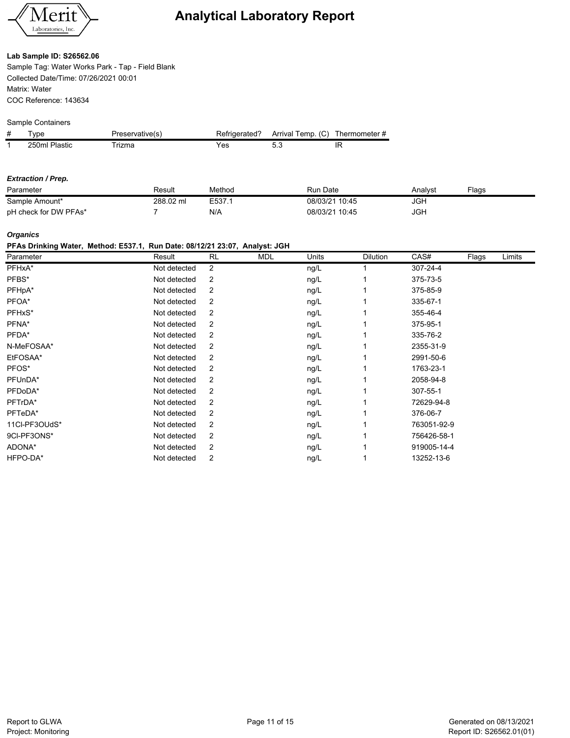

### **Lab Sample ID: S26562.06**

Sample Tag: Water Works Park - Tap - Field Blank Collected Date/Time: 07/26/2021 00:01 Matrix: Water COC Reference: 143634

#### Sample Containers

| # | vpe              | Preservative(s) | <b>Refrigerated?</b> | Arrival Temp. (C) | Thermometer # |
|---|------------------|-----------------|----------------------|-------------------|---------------|
|   | Plastic<br>250ml | rizma           | 'es                  |                   |               |

#### *Extraction / Prep.*

| Parameter             | Result    | Method | Run Date       | Analvst | ⊑laαs |
|-----------------------|-----------|--------|----------------|---------|-------|
| Sample Amount*        | 288.02 ml | E537.  | 08/03/21 10:45 | JGF     |       |
| pH check for DW PFAs* |           | N/A    | 08/03/21 10:45 | JGF     |       |

### *Organics*

#### **PFAs Drinking Water, Method: E537.1, Run Date: 08/12/21 23:07, Analyst: JGH**

| Parameter     | Result       | <b>RL</b>      | <b>MDL</b> | Units | Dilution | CAS#        | Flags | Limits |
|---------------|--------------|----------------|------------|-------|----------|-------------|-------|--------|
| PFHxA*        | Not detected | $\overline{2}$ |            | ng/L  |          | 307-24-4    |       |        |
| PFBS*         | Not detected | 2              |            | ng/L  |          | 375-73-5    |       |        |
| PFHpA*        | Not detected | 2              |            | ng/L  |          | 375-85-9    |       |        |
| PFOA*         | Not detected | 2              |            | ng/L  |          | 335-67-1    |       |        |
| PFHxS*        | Not detected | 2              |            | ng/L  |          | 355-46-4    |       |        |
| PFNA*         | Not detected | 2              |            | ng/L  |          | 375-95-1    |       |        |
| PFDA*         | Not detected | 2              |            | ng/L  |          | 335-76-2    |       |        |
| N-MeFOSAA*    | Not detected | 2              |            | ng/L  |          | 2355-31-9   |       |        |
| EtFOSAA*      | Not detected | 2              |            | ng/L  |          | 2991-50-6   |       |        |
| PFOS*         | Not detected | 2              |            | ng/L  |          | 1763-23-1   |       |        |
| PFUnDA*       | Not detected | 2              |            | ng/L  |          | 2058-94-8   |       |        |
| PFDoDA*       | Not detected | 2              |            | ng/L  |          | 307-55-1    |       |        |
| PFTrDA*       | Not detected | 2              |            | ng/L  |          | 72629-94-8  |       |        |
| PFTeDA*       | Not detected | 2              |            | ng/L  |          | 376-06-7    |       |        |
| 11CI-PF3OUdS* | Not detected | 2              |            | ng/L  |          | 763051-92-9 |       |        |
| 9CI-PF3ONS*   | Not detected | 2              |            | ng/L  |          | 756426-58-1 |       |        |
| ADONA*        | Not detected | 2              |            | ng/L  |          | 919005-14-4 |       |        |
| HFPO-DA*      | Not detected | 2              |            | ng/L  |          | 13252-13-6  |       |        |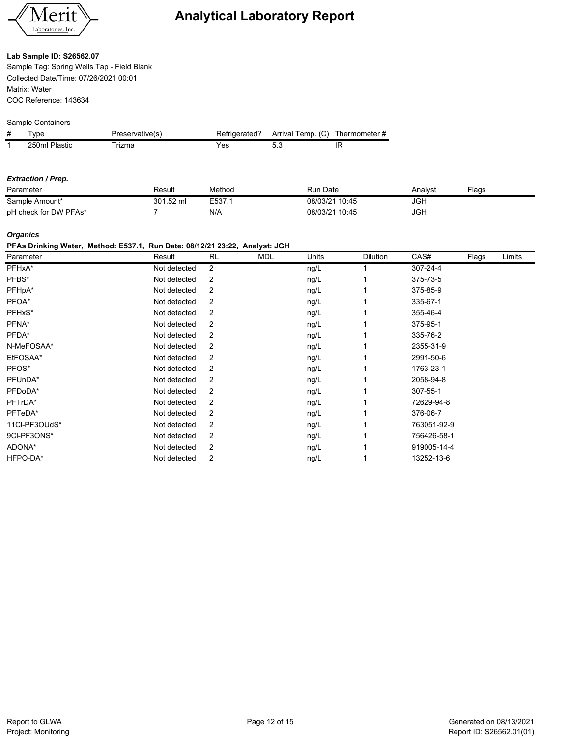

# **Lab Sample ID: S26562.07**

Sample Tag: Spring Wells Tap - Field Blank Collected Date/Time: 07/26/2021 00:01 Matrix: Water COC Reference: 143634

### Sample Containers

| # | vpe           | Preservative(s) | Refrigerated? | Arrival Temp. (C) | Thermometer # |
|---|---------------|-----------------|---------------|-------------------|---------------|
|   | 250ml Plastic | rizma           | res           |                   |               |

#### *Extraction / Prep.*

| Parameter             | Result    | Method | Run Date       | Analvst | $F$ aas |
|-----------------------|-----------|--------|----------------|---------|---------|
| Sample Amount*        | 301.52 ml | E537.1 | 08/03/21 10:45 | JGF     |         |
| pH check for DW PFAs* |           | N/A    | 08/03/21 10:45 | JGH     |         |

### *Organics*

# **PFAs Drinking Water, Method: E537.1, Run Date: 08/12/21 23:22, Analyst: JGH**

| Parameter     | Result       | <b>RL</b> | <b>MDL</b> | Units | <b>Dilution</b> | CAS#        | Flags | Limits |
|---------------|--------------|-----------|------------|-------|-----------------|-------------|-------|--------|
| PFHxA*        | Not detected | 2         |            | ng/L  |                 | 307-24-4    |       |        |
| PFBS*         | Not detected | 2         |            | ng/L  |                 | 375-73-5    |       |        |
| PFHpA*        | Not detected | 2         |            | ng/L  |                 | 375-85-9    |       |        |
| PFOA*         | Not detected | 2         |            | ng/L  |                 | 335-67-1    |       |        |
| PFHxS*        | Not detected | 2         |            | ng/L  |                 | 355-46-4    |       |        |
| PFNA*         | Not detected | 2         |            | ng/L  |                 | 375-95-1    |       |        |
| PFDA*         | Not detected | 2         |            | ng/L  |                 | 335-76-2    |       |        |
| N-MeFOSAA*    | Not detected | 2         |            | ng/L  |                 | 2355-31-9   |       |        |
| EtFOSAA*      | Not detected | 2         |            | ng/L  |                 | 2991-50-6   |       |        |
| PFOS*         | Not detected | 2         |            | ng/L  |                 | 1763-23-1   |       |        |
| PFUnDA*       | Not detected | 2         |            | ng/L  |                 | 2058-94-8   |       |        |
| PFDoDA*       | Not detected | 2         |            | ng/L  |                 | 307-55-1    |       |        |
| PFTrDA*       | Not detected | 2         |            | ng/L  |                 | 72629-94-8  |       |        |
| PFTeDA*       | Not detected | 2         |            | ng/L  |                 | 376-06-7    |       |        |
| 11Cl-PF3OUdS* | Not detected | 2         |            | ng/L  |                 | 763051-92-9 |       |        |
| 9CI-PF3ONS*   | Not detected | 2         |            | ng/L  |                 | 756426-58-1 |       |        |
| ADONA*        | Not detected | 2         |            | ng/L  |                 | 919005-14-4 |       |        |
| HFPO-DA*      | Not detected | 2         |            | ng/L  |                 | 13252-13-6  |       |        |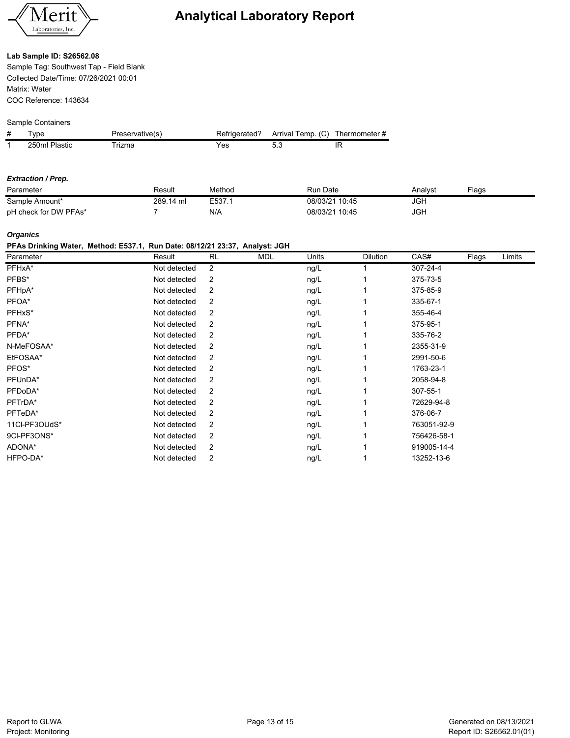

#### **Lab Sample ID: S26562.08**

Sample Tag: Southwest Tap - Field Blank Collected Date/Time: 07/26/2021 00:01 Matrix: Water COC Reference: 143634

### Sample Containers

| # | vpe           | Preservative(s) | Refrigerated? | Arrival Temp. (C) | Thermometer # |
|---|---------------|-----------------|---------------|-------------------|---------------|
|   | 250ml Plastic | rizma           | res           |                   |               |

#### *Extraction / Prep.*

| Parameter             | Result    | Method | Run Date       | Analvst | ⊑laαs |
|-----------------------|-----------|--------|----------------|---------|-------|
| Sample Amount*        | 289.14 ml | E537.1 | 08/03/21 10:45 | JGF     |       |
| pH check for DW PFAs* |           | N/A    | 08/03/21 10:45 | JGF     |       |

#### *Organics*

#### **PFAs Drinking Water, Method: E537.1, Run Date: 08/12/21 23:37, Analyst: JGH**

| Parameter     | Result       | <b>RL</b>      | <b>MDL</b> | Units | Dilution | CAS#        | Flags | Limits |
|---------------|--------------|----------------|------------|-------|----------|-------------|-------|--------|
| PFHxA*        | Not detected | $\overline{2}$ |            | ng/L  |          | 307-24-4    |       |        |
| PFBS*         | Not detected | 2              |            | ng/L  |          | 375-73-5    |       |        |
| PFHpA*        | Not detected | 2              |            | ng/L  |          | 375-85-9    |       |        |
| PFOA*         | Not detected | 2              |            | ng/L  |          | 335-67-1    |       |        |
| PFHxS*        | Not detected | 2              |            | ng/L  |          | 355-46-4    |       |        |
| PFNA*         | Not detected | 2              |            | ng/L  |          | 375-95-1    |       |        |
| PFDA*         | Not detected | 2              |            | ng/L  |          | 335-76-2    |       |        |
| N-MeFOSAA*    | Not detected | 2              |            | ng/L  |          | 2355-31-9   |       |        |
| EtFOSAA*      | Not detected | 2              |            | ng/L  |          | 2991-50-6   |       |        |
| PFOS*         | Not detected | 2              |            | ng/L  |          | 1763-23-1   |       |        |
| PFUnDA*       | Not detected | 2              |            | ng/L  |          | 2058-94-8   |       |        |
| PFDoDA*       | Not detected | 2              |            | ng/L  |          | 307-55-1    |       |        |
| PFTrDA*       | Not detected | 2              |            | ng/L  |          | 72629-94-8  |       |        |
| PFTeDA*       | Not detected | 2              |            | ng/L  |          | 376-06-7    |       |        |
| 11CI-PF3OUdS* | Not detected | 2              |            | ng/L  |          | 763051-92-9 |       |        |
| 9CI-PF3ONS*   | Not detected | 2              |            | ng/L  |          | 756426-58-1 |       |        |
| ADONA*        | Not detected | 2              |            | ng/L  |          | 919005-14-4 |       |        |
| HFPO-DA*      | Not detected | 2              |            | ng/L  |          | 13252-13-6  |       |        |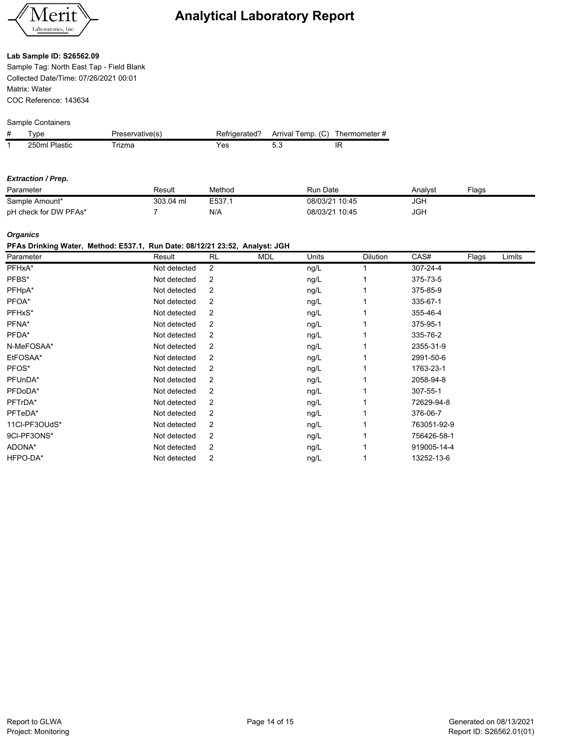

#### **Lab Sample ID: S26562.09**

Sample Tag: North East Tap - Field Blank Collected Date/Time: 07/26/2021 00:01 Matrix: Water COC Reference: 143634

### Sample Containers

| # | vpe           | Preservative(s) | Refrigerated? | Arrival Temp. (C) | Thermometer # |
|---|---------------|-----------------|---------------|-------------------|---------------|
|   | 250ml Plastic | rizma           | res           |                   |               |

#### *Extraction / Prep.*

| Parameter             | Result    | Method | Run Date       | Analvst | $F$ aas |
|-----------------------|-----------|--------|----------------|---------|---------|
| Sample Amount*        | 303.04 ml | E537.1 | 08/03/21 10:45 | JGF     |         |
| pH check for DW PFAs* |           | N/A    | 08/03/21 10:45 | JGH     |         |

#### *Organics*

# **PFAs Drinking Water, Method: E537.1, Run Date: 08/12/21 23:52, Analyst: JGH**

| Parameter     | Result       | <b>RL</b> | <b>MDL</b> | Units | <b>Dilution</b> | CAS#        | Flags | Limits |
|---------------|--------------|-----------|------------|-------|-----------------|-------------|-------|--------|
| PFHxA*        | Not detected | 2         |            | ng/L  |                 | 307-24-4    |       |        |
| PFBS*         | Not detected | 2         |            | ng/L  |                 | 375-73-5    |       |        |
| PFHpA*        | Not detected | 2         |            | ng/L  |                 | 375-85-9    |       |        |
| PFOA*         | Not detected | 2         |            | ng/L  |                 | 335-67-1    |       |        |
| PFHxS*        | Not detected | 2         |            | ng/L  |                 | 355-46-4    |       |        |
| PFNA*         | Not detected | 2         |            | ng/L  |                 | 375-95-1    |       |        |
| PFDA*         | Not detected | 2         |            | ng/L  |                 | 335-76-2    |       |        |
| N-MeFOSAA*    | Not detected | 2         |            | ng/L  |                 | 2355-31-9   |       |        |
| EtFOSAA*      | Not detected | 2         |            | ng/L  |                 | 2991-50-6   |       |        |
| PFOS*         | Not detected | 2         |            | ng/L  |                 | 1763-23-1   |       |        |
| PFUnDA*       | Not detected | 2         |            | ng/L  |                 | 2058-94-8   |       |        |
| PFDoDA*       | Not detected | 2         |            | ng/L  |                 | 307-55-1    |       |        |
| PFTrDA*       | Not detected | 2         |            | ng/L  |                 | 72629-94-8  |       |        |
| PFTeDA*       | Not detected | 2         |            | ng/L  |                 | 376-06-7    |       |        |
| 11Cl-PF3OUdS* | Not detected | 2         |            | ng/L  |                 | 763051-92-9 |       |        |
| 9CI-PF3ONS*   | Not detected | 2         |            | ng/L  |                 | 756426-58-1 |       |        |
| ADONA*        | Not detected | 2         |            | ng/L  |                 | 919005-14-4 |       |        |
| HFPO-DA*      | Not detected | 2         |            | ng/L  |                 | 13252-13-6  |       |        |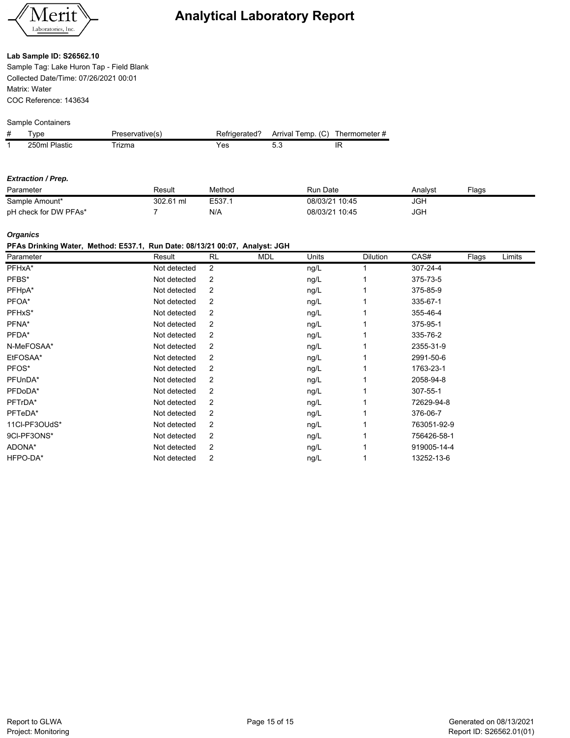

#### **Lab Sample ID: S26562.10**

Sample Tag: Lake Huron Tap - Field Blank Collected Date/Time: 07/26/2021 00:01 Matrix: Water COC Reference: 143634

### Sample Containers

| # | vpe           | Preservative(s) | Refrigerated? | Arrival Temp. (C) | Thermometer # |
|---|---------------|-----------------|---------------|-------------------|---------------|
|   | 250ml Plastic | rizma           | ′es           |                   |               |

#### *Extraction / Prep.*

| Parameter             | Result    | Method | Run Date       | Analvst | ⊑laαs |
|-----------------------|-----------|--------|----------------|---------|-------|
| Sample Amount*        | 302.61 ml | E537.  | 08/03/21 10:45 | JGF     |       |
| pH check for DW PFAs* |           | N/A    | 08/03/21 10:45 | JGF     |       |

#### *Organics*

#### **PFAs Drinking Water, Method: E537.1, Run Date: 08/13/21 00:07, Analyst: JGH**

| Parameter     | Result       | <b>RL</b>      | <b>MDL</b> | Units | Dilution | CAS#        | Flags | Limits |
|---------------|--------------|----------------|------------|-------|----------|-------------|-------|--------|
| PFHxA*        | Not detected | $\overline{2}$ |            | ng/L  |          | 307-24-4    |       |        |
| PFBS*         | Not detected | 2              |            | ng/L  |          | 375-73-5    |       |        |
| PFHpA*        | Not detected | 2              |            | ng/L  |          | 375-85-9    |       |        |
| PFOA*         | Not detected | 2              |            | ng/L  |          | 335-67-1    |       |        |
| PFHxS*        | Not detected | 2              |            | ng/L  |          | 355-46-4    |       |        |
| PFNA*         | Not detected | 2              |            | ng/L  |          | 375-95-1    |       |        |
| PFDA*         | Not detected | 2              |            | ng/L  |          | 335-76-2    |       |        |
| N-MeFOSAA*    | Not detected | 2              |            | ng/L  |          | 2355-31-9   |       |        |
| EtFOSAA*      | Not detected | 2              |            | ng/L  |          | 2991-50-6   |       |        |
| PFOS*         | Not detected | 2              |            | ng/L  |          | 1763-23-1   |       |        |
| PFUnDA*       | Not detected | 2              |            | ng/L  |          | 2058-94-8   |       |        |
| PFDoDA*       | Not detected | 2              |            | ng/L  |          | 307-55-1    |       |        |
| PFTrDA*       | Not detected | 2              |            | ng/L  |          | 72629-94-8  |       |        |
| PFTeDA*       | Not detected | 2              |            | ng/L  |          | 376-06-7    |       |        |
| 11CI-PF3OUdS* | Not detected | 2              |            | ng/L  |          | 763051-92-9 |       |        |
| 9CI-PF3ONS*   | Not detected | 2              |            | ng/L  |          | 756426-58-1 |       |        |
| ADONA*        | Not detected | 2              |            | ng/L  |          | 919005-14-4 |       |        |
| HFPO-DA*      | Not detected | 2              |            | ng/L  |          | 13252-13-6  |       |        |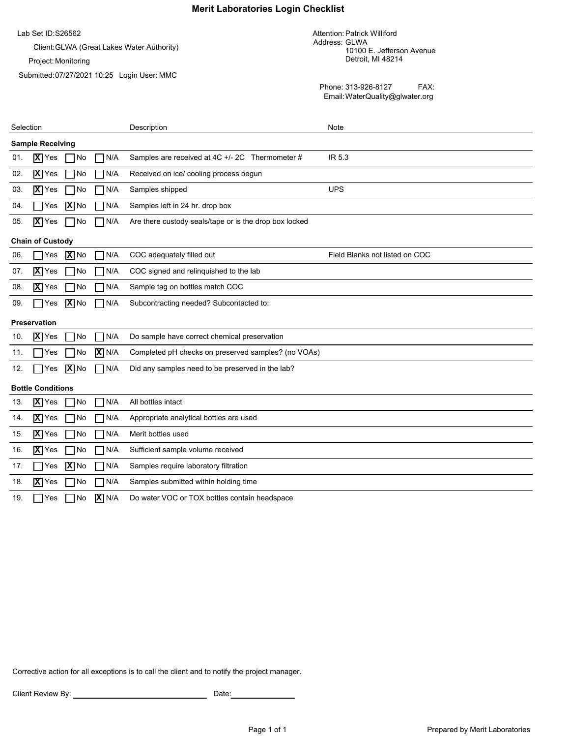# **Merit Laboratories Login Checklist**

Lab Set ID: S26562

Client:GLWA (Great Lakes Water Authority)

Project: Monitoring

Submitted: 07/27/2021 10:25 Login User: MMC

Attention: Patrick Williford Address: GLWA 10100 E. Jefferson Avenue Detroit, MI 48214

Phone: 313-926-8127 FAX: Email:WaterQuality@glwater.org

| Selection                                           | Description                                            | Note                           |
|-----------------------------------------------------|--------------------------------------------------------|--------------------------------|
| <b>Sample Receiving</b>                             |                                                        |                                |
| $\overline{X}$ Yes<br>No<br>N/A<br>01.              | Samples are received at 4C +/- 2C Thermometer #        | IR 5.3                         |
| $\overline{X}$ Yes<br>N/A<br>No<br>02.              | Received on ice/ cooling process begun                 |                                |
| $\overline{X}$ Yes<br>No<br>N/A<br>03.              | Samples shipped                                        | <b>UPS</b>                     |
| X No<br>N/A<br>04.<br>Yes                           | Samples left in 24 hr. drop box                        |                                |
| $\overline{\mathbf{X}}$ Yes<br>N/A<br>No<br>05.     | Are there custody seals/tape or is the drop box locked |                                |
| <b>Chain of Custody</b>                             |                                                        |                                |
| $ \mathbf{X} $ No<br>N/A<br>06.<br>Yes              | COC adequately filled out                              | Field Blanks not listed on COC |
| $\overline{\mathbf{X}}$ Yes<br>No<br>N/A<br>07.     | COC signed and relinquished to the lab                 |                                |
| X Yes<br>No<br>N/A<br>08.                           | Sample tag on bottles match COC                        |                                |
| $ \mathbf{X} $ No<br>N/A<br>09.<br>Yes              | Subcontracting needed? Subcontacted to:                |                                |
| <b>Preservation</b>                                 |                                                        |                                |
| $\overline{X}$ Yes<br>N/A<br>No<br>10.              | Do sample have correct chemical preservation           |                                |
| $X$ N/A<br>No<br>11.<br>Yes                         | Completed pH checks on preserved samples? (no VOAs)    |                                |
| $\boxed{\mathbf{X}}$ No<br>$\n  1N/A$<br>12.<br>Yes | Did any samples need to be preserved in the lab?       |                                |
| <b>Bottle Conditions</b>                            |                                                        |                                |
| $\overline{X}$ Yes<br>N/A<br>No<br>13.              | All bottles intact                                     |                                |
| $\overline{X}$ Yes<br>N/A<br>No<br>14.              | Appropriate analytical bottles are used                |                                |
| N/A<br>$\overline{X}$ Yes<br>No<br>15.              | Merit bottles used                                     |                                |
| $\overline{X}$ Yes<br>N/A<br>No<br>16.              | Sufficient sample volume received                      |                                |
| $ \overline{\mathbf{X}} $ No<br>N/A<br>17.<br>Yes   | Samples require laboratory filtration                  |                                |
| $\overline{X}$ Yes<br>N/A<br>No<br>18.              | Samples submitted within holding time                  |                                |
| $X$ N/A<br>19.<br>No<br>Yes                         | Do water VOC or TOX bottles contain headspace          |                                |

Corrective action for all exceptions is to call the client and to notify the project manager.